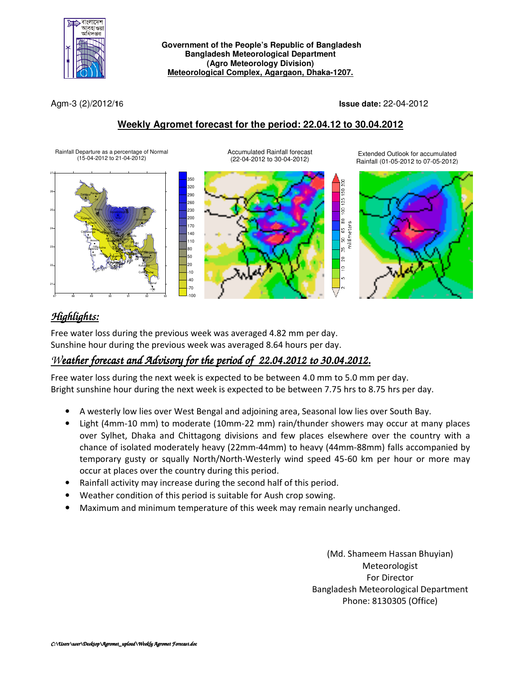

 **Government of the People's Republic of Bangladesh Bangladesh Meteorological Department (Agro Meteorology Division) Meteorological Complex, Agargaon, Dhaka-1207.**

Agm-3 (2)/2012/**1**6 **Issue date:** 22-04-2012

### **Weekly Agromet forecast for the period: 22.04.12 to 30.04.2012**



# *Highlights:*

Free water loss during the previous week was averaged 4.82 mm per day. Sunshine hour during the previous week was averaged 8.64 hours per day.

## *Weather forecast and Advisory for the period of 22.04.2012 to 30.04.2012.*

Free water loss during the next week is expected to be between 4.0 mm to 5.0 mm per day. Bright sunshine hour during the next week is expected to be between 7.75 hrs to 8.75 hrs per day.

- A westerly low lies over West Bengal and adjoining area, Seasonal low lies over South Bay.
- Light (4mm-10 mm) to moderate (10mm-22 mm) rain/thunder showers may occur at many places over Sylhet, Dhaka and Chittagong divisions and few places elsewhere over the country with a chance of isolated moderately heavy (22mm-44mm) to heavy (44mm-88mm) falls accompanied by temporary gusty or squally North/North-Westerly wind speed 45-60 km per hour or more may occur at places over the country during this period.
- Rainfall activity may increase during the second half of this period.
- Weather condition of this period is suitable for Aush crop sowing.
- Maximum and minimum temperature of this week may remain nearly unchanged.

(Md. Shameem Hassan Bhuyian) Meteorologist For Director Bangladesh Meteorological Department Phone: 8130305 (Office)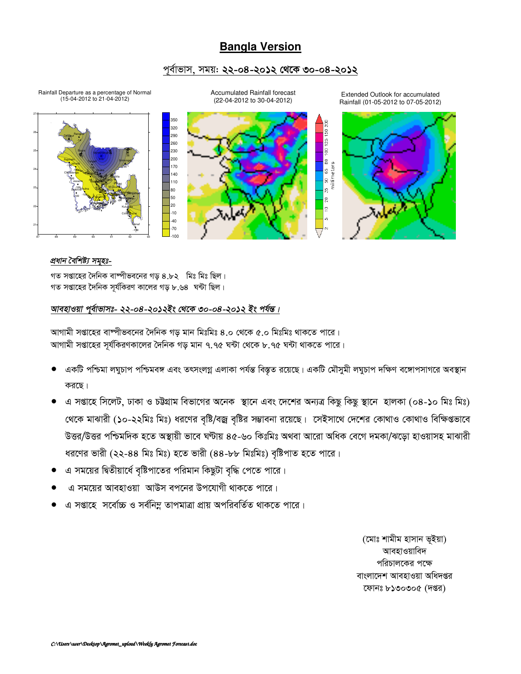### **Bangla Version**

### পূর্বাভাস, সময়: **২২-০৪-২০১২ থেকে ৩০-০৪-২০১২**



36

**Sylhet** 

91 \*\*\* \*\*\*

**Chittagong** Sitakunda <sub>Rangamati</sub>

 $100 - 64$ -100

HatiyaSandwip Kutub<mark>dia</mark>

-69 -39 5 -29

Feni M.Court Chandpur Comilla

> \*\*\* -100

Coxs<sup>Bazar</sup> Teknaf Accumulated Rainfall forecast (22-04-2012 to 30-04-2012)

Extended Outlook for accumulated Rainfall (01-05-2012 to 07-05-2012)



#### *প্ৰধান বৈশিষ্ট্য সমহঃ-*

21

22

23

24

25

26

87 88 89 90 91 92 93

156 -84 -41

Dhaka Faridpur Madaripur

> $\mathbf{r}$ -100 -100

108

Tangail

76 -100

Bogra Ishurdi

-100 -100 -100

Khulna Jessore Ch<mark>u</mark>adan<mark>ga</mark>

100 <sup>-106</sup>2 Faluak

Satkhira Bara Patuakhali Khepupa **(Kare** 

 $\frac{1}{33}$   $\frac{14}{1}$ 

Dinajpur <sup>Rangpur</sup>

 $30 - 77777$ 

Srimongal Rajshahi

গত সপ্তাহের দৈনিক বাম্পীভবনের গড়  $8.52$  মিঃ মিঃ ছিল। গত সপ্তাহের দৈনিক সর্যকিরণ কালের গড় ৮.৬৪ ঘন্টা ছিল।

#### *আবহাওয়া প্*ৰ্বাভাসঃ- ২২-০৪-২০১২ইং থেকে ৩০-০৪-২০১২ ইং পৰ্যন্ত।

আগামী সপ্তাহের বাষ্পীভবনের দৈনিক গড় মান মিঃমিঃ ৪.০ থেকে ৫.০ মিঃমিঃ থাকতে পারে। আগামী সপ্তাহের সূর্যকিরণকালের দৈনিক গড় মান ৭.৭৫ ঘন্টা থেকে ৮.৭৫ ঘন্টা থাকতে পারে।

- একটি পশ্চিমা লঘুচাপ পশ্চিমবঙ্গ এবং তৎসংলগ্ন এলাকা পৰ্যন্ত বিস্তৃত রয়েছে। একটি মৌসুমী লঘুচাপ দক্ষিণ বঙ্গোপসাগরে অবস্থান করছে।
- এ সপ্তাহে সিলেট, ঢাকা ও চউগ্রাম বিভাগের অনেক স্থানে এবং দেশের অন্যত্র কিছু কিছু স্থানে হালকা (০৪-১০ মিঃ মিঃ) খেকে মাঝারী (১০-২২মিঃ মিঃ) ধরণের বৃষ্টি/বজ্র বৃষ্টির সম্ভাবনা রয়েছে। সেইসাথে দেশের কোথাও কোথাও বিক্ষিগুভাবে উত্তর/উত্তর পশ্চিমদিক হতে অস্থায়ী ভাবে ঘণ্টায় ৪৫-৬০ কিঃমিঃ অথবা আরো অধিক বেগে দমকা/ঝডো হাওয়াসহ মাঝারী ধরণের ভারী (২২-৪৪ মিঃ মিঃ) হতে ভারী (৪৪-৮৮ মিঃমিঃ) বৃষ্টিপাত হতে পারে।
- এ সময়ের দ্বিতীয়ার্ধে বৃষ্টিপাতের পরিমান কিছুটা বৃদ্ধি পেতে পারে।
- এ সময়ের আবহাওয়া আউস বপনের উপযোগী থাকতে পারে।
- এ সপ্তাহে সর্বোচ্চ ও সর্বনিম্ন তাপমাত্রা প্রায় অপরিবর্তিত থাকতে পারে।

(মোঃ শামীম হাসান ভূইয়া) আবহাওয়াবিদ পরিচালকের পক্ষে বাংলাদেশ আবহাওয়া অধিদপ্তর ফোনঃ ৮১৩০৩০৫ (দপ্তর)